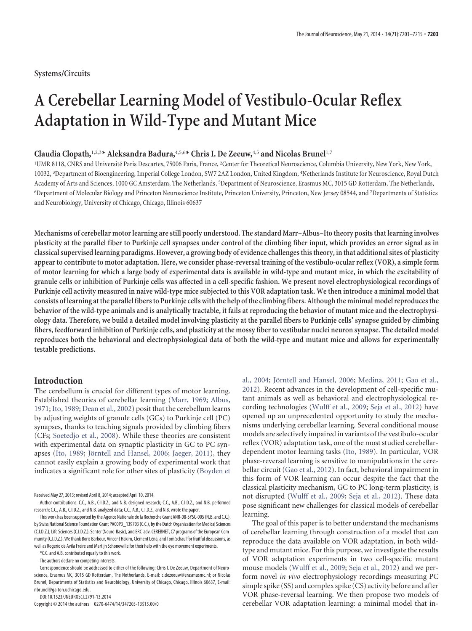## **Systems/Circuits**

# **A Cerebellar Learning Model of Vestibulo-Ocular Reflex Adaptation in Wild-Type and Mutant Mice**

# **Claudia Clopath,**1,2,3**\* Aleksandra Badura,**4,5,6**\* Chris I. De Zeeuw,**4,5 **and Nicolas Brunel**1,7

<sup>1</sup>UMR 8118, CNRS and Université Paris Descartes, 75006 Paris, France, <sup>2</sup>Center for Theoretical Neuroscience, Columbia University, New York, New York, 10032, <sup>3</sup> Department of Bioengineering, Imperial College London, SW7 2AZ London, United Kingdom, <sup>4</sup> Netherlands Institute for Neuroscience, Royal Dutch Academy of Arts and Sciences, 1000 GC Amsterdam, The Netherlands, <sup>5</sup>Department of Neuroscience, Erasmus MC, 3015 GD Rotterdam, The Netherlands, 6 Department of Molecular Biology and Princeton Neuroscience Institute, Princeton University, Princeton, New Jersey 08544, and <sup>7</sup> Departments of Statistics and Neurobiology, University of Chicago, Chicago, Illinois 60637

**Mechanisms of cerebellar motor learning are still poorly understood. The standard Marr–Albus–Ito theory posits that learning involves plasticity at the parallel fiber to Purkinje cell synapses under control of the climbing fiber input, which provides an error signal as in classical supervised learning paradigms. However, a growing body of evidence challenges this theory, in that additional sites of plasticity appear to contribute to motor adaptation. Here, we consider phase-reversal training of the vestibulo-ocular reflex (VOR), a simple form of motor learning for which a large body of experimental data is available in wild-type and mutant mice, in which the excitability of granule cells or inhibition of Purkinje cells was affected in a cell-specific fashion. We present novel electrophysiological recordings of Purkinje cell activity measured in naive wild-type mice subjected to this VOR adaptation task. We then introduce a minimal model that consists of learning atthe parallelfibersto Purkinje cells withthe help ofthe climbingfibers. Althoughthe minimal model reproducesthe behavior of the wild-type animals and is analytically tractable, it fails at reproducing the behavior of mutant mice and the electrophysiology data. Therefore, we build a detailed model involving plasticity at the parallel fibers to Purkinje cells' synapse guided by climbing fibers, feedforward inhibition of Purkinje cells, and plasticity at the mossy fiber to vestibular nuclei neuron synapse. The detailed model reproduces both the behavioral and electrophysiological data of both the wild-type and mutant mice and allows for experimentally testable predictions.**

# **Introduction**

The cerebellum is crucial for different types of motor learning. Established theories of cerebellar learning [\(Marr, 1969;](#page-11-0) [Albus,](#page-10-0) [1971;](#page-10-0) [Ito, 1989;](#page-11-1) [Dean et al., 2002\)](#page-11-2) posit that the cerebellum learns by adjusting weights of granule cells (GCs) to Purkinje cell (PC) synapses, thanks to teaching signals provided by climbing fibers (CFs; [Soetedjo et al., 2008\)](#page-11-3). While these theories are consistent with experimental data on synaptic plasticity in GC to PC syn-apses [\(Ito, 1989;](#page-11-1) Jörntell and Hansel, 2006; [Jaeger, 2011\)](#page-11-5), they cannot easily explain a growing body of experimental work that indicates a significant role for other sites of plasticity [\(Boyden et](#page-11-6)

Received May 27, 2013; revised April 8, 2014; accepted April 10, 2014.

This work has been supported by the Agence Nationale de la Recherche Grant ANR-08-SYSC-005 (N.B. and C.C.), by Swiss National Science Foundation Grant PA00P3\_139703 (C.C.), by the Dutch Organization for Medical Sciences (C.I.D.Z.), Life Sciences (C.I.D.Z.), Senter (Neuro-Basic), and ERC-adv, CEREBNET, C7 programs of the European Community (C.I.D.Z.). We thank Boris Barbour, Vincent Hakim, Clement Léna, and Tom Schaul for fruitful discussions, as well as Rogerio de Avila Freire and Martijn Schonewille for their help with the eye movement experiments.

\*C.C. and A.B. contributed equally to this work.

The authors declare no competing interests.

Correspondence should be addressed to either of the following: Chris I. De Zeeuw, Department of Neuroscience, Erasmus MC, 3015 GD Rotterdam, The Netherlands, E-mail: c.dezeeuw@erasmusmc.nl; or Nicolas Brunel, Departments of Statistics and Neurobiology, University of Chicago, Chicago, Illinois 60637, E-mail: nbrunel@galton.uchicago.edu.

DOI:10.1523/JNEUROSCI.2791-13.2014

Copyright © 2014 the authors 0270-6474/14/347203-13\$15.00/0

[al., 2004;](#page-11-6) Jörntell and Hansel, 2006; [Medina, 2011;](#page-11-7) [Gao et al.,](#page-11-8) [2012\)](#page-11-8). Recent advances in the development of cell-specific mutant animals as well as behavioral and electrophysiological recording technologies [\(Wulff et al., 2009;](#page-12-0) [Seja et al., 2012\)](#page-11-9) have opened up an unprecedented opportunity to study the mechanisms underlying cerebellar learning. Several conditional mouse models are selectively impaired in variants of the vestibulo-ocular reflex (VOR) adaptation task, one of the most studied cerebellardependent motor learning tasks [\(Ito, 1989\)](#page-11-1). In particular, VOR phase-reversal learning is sensitive to manipulations in the cerebellar circuit [\(Gao et al., 2012\)](#page-11-8). In fact, behavioral impairment in this form of VOR learning can occur despite the fact that the classical plasticity mechanism, GC to PC long-term plasticity, is not disrupted [\(Wulff et al., 2009;](#page-12-0) [Seja et al., 2012\)](#page-11-9). These data pose significant new challenges for classical models of cerebellar learning.

The goal of this paper is to better understand the mechanisms of cerebellar learning through construction of a model that can reproduce the data available on VOR adaptation, in both wildtype and mutant mice. For this purpose, we investigate the results of VOR adaptation experiments in two cell-specific mutant mouse models [\(Wulff et al., 2009;](#page-12-0) [Seja et al., 2012\)](#page-11-9) and we perform novel *in vivo* electrophysiology recordings measuring PC simple spike (SS) and complex spike (CS) activity before and after VOR phase-reversal learning. We then propose two models of cerebellar VOR adaptation learning: a minimal model that in-

Author contributions: C.C., A.B., C.I.D.Z., and N.B. designed research; C.C., A.B., C.I.D.Z., and N.B. performed research; C.C., A.B., C.I.D.Z., and N.B. analyzed data; C.C., A.B., C.I.D.Z., and N.B. wrote the paper.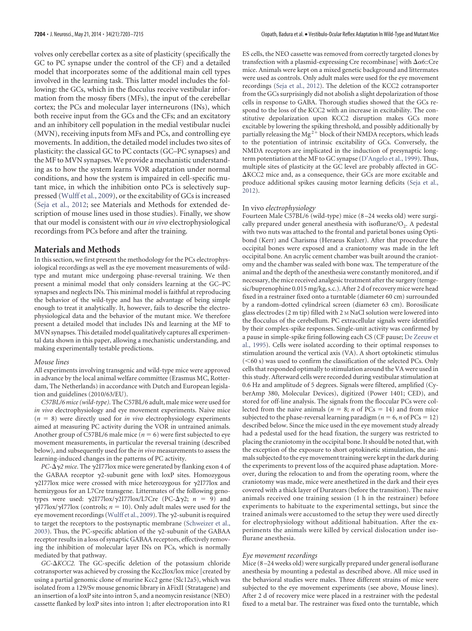volves only cerebellar cortex as a site of plasticity (specifically the GC to PC synapse under the control of the CF) and a detailed model that incorporates some of the additional main cell types involved in the learning task. This latter model includes the following: the GCs, which in the flocculus receive vestibular information from the mossy fibers (MFs), the input of the cerebellar cortex; the PCs and molecular layer interneurons (INs), which both receive input from the GCs and the CFs; and an excitatory and an inhibitory cell population in the medial vestibular nuclei (MVN), receiving inputs from MFs and PCs, and controlling eye movements. In addition, the detailed model includes two sites of plasticity: the classical GC to PC contacts (GC–PC synapses) and the MF to MVN synapses. We provide a mechanistic understanding as to how the system learns VOR adaptation under normal conditions, and how the system is impaired in cell-specific mutant mice, in which the inhibition onto PCs is selectively suppressed [\(Wulff et al., 2009\)](#page-12-0), or the excitability of GCs is increased [\(Seja et al., 2012;](#page-11-9) see Materials and Methods for extended description of mouse lines used in those studies). Finally, we show that our model is consistent with our *in vivo* electrophysiological recordings from PCs before and after the training.

## **Materials and Methods**

In this section, we first present the methodology for the PCs electrophysiological recordings as well as the eye movement measurements of wildtype and mutant mice undergoing phase-reversal training. We then present a minimal model that only considers learning at the GC–PC synapses and neglects INs. This minimal model is faithful at reproducing the behavior of the wild-type and has the advantage of being simple enough to treat it analytically. It, however, fails to describe the electrophysiological data and the behavior of the mutant mice. We therefore present a detailed model that includes INs and learning at the MF to MVN synapses. This detailed model qualitatively captures all experimental data shown in this paper, allowing a mechanistic understanding, and making experimentally testable predictions.

## *Mouse lines*

All experiments involving transgenic and wild-type mice were approved in advance by the local animal welfare committee (Erasmus MC, Rotterdam, The Netherlands) in accordance with Dutch and European legislation and guidelines (2010/63/EU).

*C57BL/6 mice (wild-type).* The C57BL/6 adult, male mice were used for *in vivo* electrophysiology and eye movement experiments. Naive mice  $(n = 8)$  were directly used for *in vivo* electrophysiology experiments aimed at measuring PC activity during the VOR in untrained animals. Another group of C57BL/6 male mice  $(n = 6)$  were first subjected to eye movement measurements, in particular the reversal training (described below), and subsequently used for the *in vivo* measurements to assess the learning-induced changes in the patterns of PC activity.

 $PC$ - $\Delta\gamma$ 2 *mice*. The  $\gamma$ 2I77lox mice were generated by flanking exon 4 of the GABAA receptor  $\gamma$ 2-subunit gene with loxP sites. Homozygous  $\gamma$ 2I77lox mice were crossed with mice heterozygous for  $\gamma$ 2I77lox and hemizygous for an L7Cre transgene. Littermates of the following genotypes were used:  $\gamma$ 2I77lox/ $\gamma$ 2I77lox/L7Cre (PC- $\Delta \gamma$ 2; *n* = 9) and  $\gamma$ I77lox/ $\gamma$ I77lox (controls;  $n = 10$ ). Only adult males were used for the eye movement recordings [\(Wulff et al., 2009\)](#page-12-0). The  $\gamma$ 2-subunit is required to target the receptors to the postsynaptic membrane [\(Schweizer et al.,](#page-11-10) [2003\)](#page-11-10). Thus, the PC-specific ablation of the  $\gamma$ 2-subunit of the GABAA receptor results in a loss of synaptic GABAA receptors, effectively removing the inhibition of molecular layer INs on PCs, which is normally mediated by that pathway.

*GC-KCC2.* The GC-specific deletion of the potassium chloride cotransporter was achieved by crossing the Kcc2lox/lox mice [created by using a partial genomic clone of murine Kcc2 gene (Slc12a5), which was isolated from a 129/Sv mouse genomic library in  $\lambda$  FixII (Stratagene) and an insertion of a loxP site into intron 5, and a neomycin resistance (NEO) cassette flanked by loxP sites into intron 1; after electroporation into R1

ES cells, the NEO cassette was removed from correctly targeted clones by transfection with a plasmid-expressing Cre recombinase] with  $\Delta \alpha$ 6::Cre mice. Animals were kept on a mixed genetic background and littermates were used as controls. Only adult males were used for the eye movement recordings [\(Seja et al., 2012\)](#page-11-9). The deletion of the KCC2 cotransporter from the GCs surprisingly did not abolish a slight depolarization of those cells in response to GABA. Thorough studies showed that the GCs respond to the loss of the KCC2 with an increase in excitability. The constitutive depolarization upon KCC2 disruption makes GCs more excitable by lowering the spiking threshold, and possibly additionally by<br>partially releasing the Mg<sup>2+</sup> block of their NMDA receptors, which leads to the potentiation of intrinsic excitability of GCs. Conversely, the NMDA receptors are implicated in the induction of presynaptic longterm potentiation at the MF to GC synapse [\(D'Angelo et al., 1999\)](#page-11-11). Thus, multiple sites of plasticity at the GC level are probably affected in GC- KCC2 mice and, as a consequence, their GCs are more excitable and produce additional spikes causing motor learning deficits [\(Seja et al.,](#page-11-9) [2012\)](#page-11-9).

#### In vivo *electrophysiology*

Fourteen Male C57BL/6 (wild-type) mice (8 –24 weeks old) were surgically prepared under general anesthesia with isoflurane/ $O<sub>2</sub>$ . A pedestal with two nuts was attached to the frontal and parietal bones using Optibond (Kerr) and Charisma (Heraeus Kulzer). After that procedure the occipital bones were exposed and a craniotomy was made in the left occipital bone. An acrylic cement chamber was built around the craniotomy and the chamber was sealed with bone wax. The temperature of the animal and the depth of the anesthesia were constantly monitored, and if necessary, the mice received analgesic treatment after the surgery (temgesic/buprenophine 0.015 mg/kg, s.c.). After 2 d ofrecovery mice were head fixed in a restrainer fixed onto a turntable (diameter 60 cm) surrounded by a random-dotted cylindrical screen (diameter 63 cm). Borosilicate glass electrodes (2 m tip) filled with 2 M NaCl solution were lowered into the flocculus of the cerebellum. PC extracellular signals were identified by their complex-spike responses. Single-unit activity was confirmed by a pause in simple-spike firing following each CS (CF pause; [De Zeeuw et](#page-11-12) [al., 1995\)](#page-11-12). Cells were isolated according to their optimal responses to stimulation around the vertical axis (VA). A short optokinetic stimulus  $(<$  60 s) was used to confirm the classification of the selected PCs. Only cells that responded optimally to stimulation around the VA were used in this study. Afterward cells were recorded during vestibular stimulation at 0.6 Hz and amplitude of 5 degrees. Signals were filtered, amplified (CyberAmp 380, Molecular Devices), digitized (Power 1401; CED), and stored for off-line analysis. The signals from the floccular PCs were collected from the naive animals ( $n = 8$ ;  $n$  of PCs = 14) and from mice subjected to the phase-reversal learning paradigm ( $n = 6$ ,  $n$  of PCs = 12) described below. Since the mice used in the eye movement study already had a pedestal used for the head fixation, the surgery was restricted to placing the craniotomy in the occipital bone. It should be noted that, with the exception of the exposure to short optokinetic stimulation, the animals subjected to the eye movement training were kept in the dark during the experiments to prevent loss of the acquired phase adaptation. Moreover, during the relocation to and from the operating room, where the craniotomy was made, mice were anesthetized in the dark and their eyes covered with a thick layer of Duratears (before the transition). The naive animals received one training session (1 h in the restrainer) before experiments to habituate to the experimental settings, but since the trained animals were accustomed to the setup they were used directly for electrophysiology without additional habituation. After the experiments the animals were killed by cervical dislocation under isoflurane anesthesia.

#### *Eye movement recordings*

Mice (8 –24 weeks old) were surgically prepared under general isoflurane anesthesia by mounting a pedestal as described above. All mice used in the behavioral studies were males. Three different strains of mice were subjected to the eye movement experiments (see above, Mouse lines). After 2 d of recovery mice were placed in a restrainer with the pedestal fixed to a metal bar. The restrainer was fixed onto the turntable, which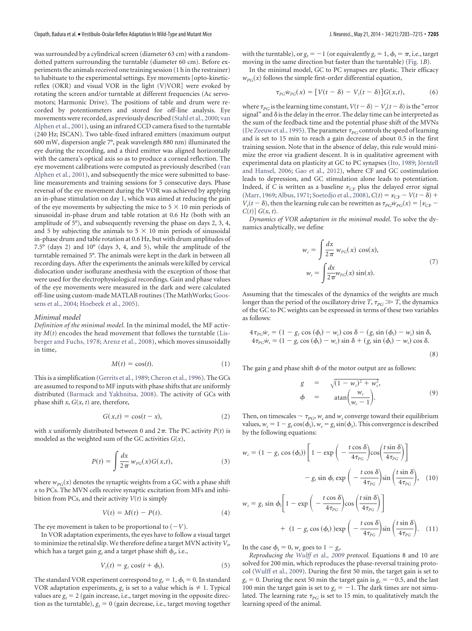was surrounded by a cylindrical screen (diameter 63 cm) with a randomdotted pattern surrounding the turntable (diameter 60 cm). Before experiments the animals received one training session (1 h in the restrainer) to habituate to the experimental settings. Eye movements [opto-kineticreflex (OKR) and visual VOR in the light (V)VOR] were evoked by rotating the screen and/or turntable at different frequencies (Ac servomotors; Harmonic Drive). The positions of table and drum were recorded by potentiometers and stored for off-line analysis. Eye movements were recorded, as previously described [\(Stahl et al., 2000;](#page-11-13) [van](#page-12-1) [Alphen et al., 2001\)](#page-12-1), using an infrared CCD camera fixed to the turntable (240 Hz; ISCAN). Two table-fixed infrared emitters (maximum output 600 mW, dispersion angle 7°, peak wavelength 880 nm) illuminated the eye during the recording, and a third emitter was aligned horizontally with the camera's optical axis so as to produce a corneal reflection. The eye movement calibrations were computed as previously described [\(van](#page-12-1) [Alphen et al., 2001\)](#page-12-1), and subsequently the mice were submitted to baseline measurements and training sessions for 5 consecutive days. Phase reversal of the eye movement during the VOR was achieved by applying an in-phase stimulation on day 1, which was aimed at reducing the gain of the eye movements by subjecting the mice to  $5 \times 10$  min periods of sinusoidal in-phase drum and table rotation at 0.6 Hz (both with an amplitude of 5°), and subsequently reversing the phase on days 2, 3, 4, and 5 by subjecting the animals to  $5 \times 10$  min periods of sinusoidal in-phase drum and table rotation at 0.6 Hz, but with drum amplitudes of 7.5° (days 2) and 10° (days 3, 4, and 5), while the amplitude of the turntable remained 5°. The animals were kept in the dark in between all recording days. After the experiments the animals were killed by cervical dislocation under isoflurane anesthesia with the exception of those that were used for the electrophysiological recordings. Gain and phase values of the eye movements were measured in the dark and were calculated off-line using custom-made MATLAB routines (The MathWorks; [Goos](#page-11-14)[sens et al., 2004;](#page-11-14) [Hoebeek et al., 2005\)](#page-11-15).

#### *Minimal model*

*Definition of the minimal model.* In the minimal model, the MF activity *M*(*t*) encodes the head movement that follows the turntable [\(Lis](#page-11-16)[berger and Fuchs, 1978;](#page-11-16) [Arenz et al., 2008\)](#page-10-1), which moves sinusoidally in time,

$$
M(t) = \cos(t). \tag{1}
$$

This is a simplification [\(Gerrits et al., 1989;](#page-11-17) [Cheron et al., 1996\)](#page-11-18). The GCs are assumed to respond to MF inputs with phase shifts that are uniformly distributed [\(Barmack and Yakhnitsa, 2008\)](#page-10-2). The activity of GCs with phase shift *x*, *G*(*x*, *t*) are, therefore,

$$
G(x,t) = \cos(t - x),\tag{2}
$$

with *x* uniformly distributed between 0 and  $2\pi$ . The PC activity  $P(t)$  is modeled as the weighted sum of the GC activities *G*(*x*),

$$
P(t) = \int \frac{dx}{2\pi} w_{PG}(x) G(x, t), \qquad (3)
$$

where  $w_{PG}(x)$  denotes the synaptic weights from a GC with a phase shift *x* to PCs. The MVN cells receive synaptic excitation from MFs and inhibition from PCs, and their activity  $V(t)$  is simply

$$
V(t) = M(t) - P(t). \tag{4}
$$

The eye movement is taken to be proportional to  $(-V)$ .

In VOR adaptation experiments, the eyes have to follow a visual target to minimize the retinal slip. We therefore define a target MVN activity  $V_{t}$ , which has a target gain  $g_t$  and a target phase shift  $\phi_p$  i.e.,

$$
V_t(t) = g_t \cos(t + \phi_t). \tag{5}
$$

The standard VOR experiment correspond to  $g_t = 1$ ,  $\phi_t = 0$ . In standard VOR adaptation experiments,  $g_t$  is set to a value which is  $\neq 1$ . Typical values are  $g_t = 2$  (gain increase, i.e., target moving in the opposite direction as the turntable),  $g_t = 0$  (gain decrease, i.e., target moving together

with the turntable), or  $g_t = -1$  (or equivalently  $g_t = 1$ ,  $\phi_t = \pi$ , i.e., target moving in the same direction but faster than the turntable) [\(Fig. 1](#page-4-0)*B*).

In the minimal model, GC to PC synapses are plastic. Their efficacy  $w_{PG}(x)$  follows the simple first-order differential equation,

$$
\tau_{PG} \dot{w}_{PG}(x) = \big[ V(t-\delta) - V_t(t-\delta) \big] G(x,t), \tag{6}
$$

where  $\tau_{PG}$  is the learning time constant,  $V(t - \delta) - V_t(t - \delta)$  is the "error signal" and  $\delta$  is the delay in the error. The delay time can be interpreted as the sum of the feedback time and the potential phase shift of the MVNs [\(De Zeeuw et al., 1995\)](#page-11-12). The parameter  $\tau_{PG}$  controls the speed of learning and is set to 15 min to reach a gain decrease of about 0.5 in the first training session. Note that in the absence of delay, this rule would minimize the error via gradient descent. It is in qualitative agreement with experimental data on plasticity at GC to PC synapses [\(Ito, 1989;](#page-11-1) Jörntell [and Hansel, 2006;](#page-11-4) [Gao et al., 2012\)](#page-11-8), where CF and GC costimulation leads to depression, and GC stimulation alone leads to potentiation. Indeed, if  $C$  is written as a baseline  $\nu_{CF}$  plus the delayed error signal  $(Marr, 1969;$  [Albus, 1971;](#page-10-0) [Soetedjo et al., 2008\)](#page-11-3),  $C(t) = \nu_{CF} - V(t - \delta) +$  $V_t(t - \delta)$ , then the learning rule can be rewritten as  $\tau_{PG} \dot{w}_{PG}(x) = [v_{CF} - \delta]$  $C(t)$ ]  $G(x, t)$ .

*Dynamics of VOR adaptation in the minimal model.* To solve the dynamics analytically, we define

$$
w_c = \int \frac{dx}{2\pi} w_{PG}(x) \cos(x),
$$
  

$$
w_s = \int \frac{dx}{2\pi} w_{PG}(x) \sin(x).
$$
 (7)

Assuming that the timescales of the dynamics of the weights are much longer than the period of the oscillatory drive *T*,  $\tau_{PG} \gg T$ , the dynamics of the GC to PC weights can be expressed in terms of these two variables as follows:

$$
4\tau_{PG}\dot{w}_c = (1 - g_t \cos{(\phi_t)} - w_c) \cos{\delta} - (g_t \sin{(\phi_t)} - w_s) \sin{\delta},
$$
  

$$
4\tau_{PG}\dot{w}_s = (1 - g_t \cos{(\phi_t)} - w_c) \sin{\delta} + (g_t \sin{(\phi_t)} - w_s) \cos{\delta}.
$$

The gain  $g$  and phase shift  $\phi$  of the motor output are as follows:

$$
g = \sqrt{(1 - w_c)^2 + w_s^2},
$$
  
\n
$$
\phi = \arctan\left(\frac{w_s}{w_c - 1}\right).
$$
\n(9)

(8)

Then, on timescales  $\sim \tau_{PG}$ ,  $w_c$  and  $w_s$  converge toward their equilibrium values,  $w_c = 1 - g_t \cos(\phi_t)$ ,  $w_s = g_t \sin(\phi_t)$ . This convergence is described by the following equations:

$$
w_c = (1 - g_t \cos (\phi_t)) \left[ 1 - \exp \left( -\frac{t \cos \delta}{4 \tau_{PG}} \right) \cos \left( \frac{t \sin \delta}{4 \tau_{PG}} \right) \right]
$$

$$
- g_t \sin \phi_t \exp \left( -\frac{t \cos \delta}{4 \tau_{PG}} \right) \sin \left( \frac{t \sin \delta}{4 \tau_{PG}} \right), \quad (10)
$$

$$
w_s = g_t \sin \phi_t \left[ 1 - \exp \left( -\frac{t \cos \delta}{4 \tau_{PG}} \right) \cos \left( \frac{t \sin \delta}{4 \tau_{PG}} \right) \right]
$$
  
+ 
$$
(1 - g_t \cos (\phi_t)) \exp \left( -\frac{t \cos \delta}{4 \tau_{PG}} \right) \sin \left( \frac{t \sin \delta}{4 \tau_{PG}} \right).
$$
 (11)

In the case  $\phi_t = 0$ ,  $w_c$  goes to  $1 - g_t$ .

*Reproducing the Wulff* et al.*[, 2009](#page-12-0) protocol.* Equations 8 and 10 are solved for 200 min, which reproduces the phase-reversal training protocol [\(Wulff et al., 2009\)](#page-12-0). During the first 50 min, the target gain is set to  $g_t = 0$ . During the next 50 min the target gain is  $g_t = -0.5$ , and the last 100 min the target gain is set to  $g_t = -1$ . The dark times are not simulated. The learning rate  $\tau_{PG}$  is set to 15 min, to qualitatively match the learning speed of the animal.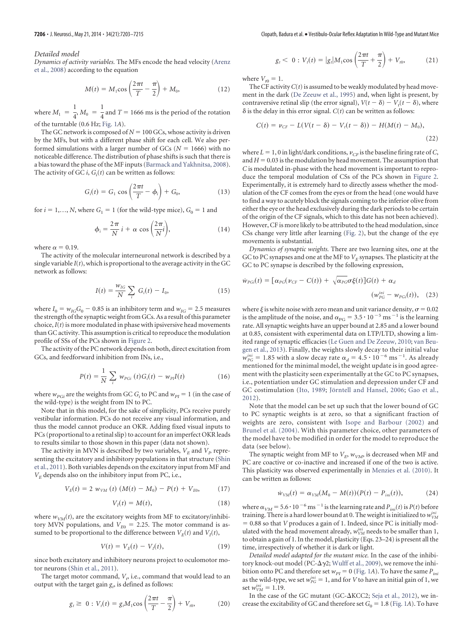#### *Detailed model*

*Dynamics of activity variables.* The MFs encode the head velocity [\(Arenz](#page-10-1) [et al., 2008\)](#page-10-1) according to the equation

$$
M(t) = M_1 \cos\left(\frac{2\pi t}{T} - \frac{\pi}{2}\right) + M_0,
$$
\n(12)

where  $M_1 = \frac{1}{4}$ ,  $M_0 = \frac{1}{4}$  and  $T = 1666$  ms is the period of the rotation of the turntable (0.6 Hz; [Fig. 1](#page-4-0)*A*).

The GC network is composed of  $N = 100$  GCs, whose activity is driven by the MFs, but with a different phase shift for each cell. We also performed simulations with a larger number of  $GCs$  ( $N = 1666$ ) with no noticeable difference. The distribution of phase shifts is such that there is a bias toward the phase of the MF inputs [\(Barmack and Yakhnitsa, 2008\)](#page-10-2). The activity of  $GC$  *i*,  $G_i(t)$  can be written as follows:

$$
G_i(t) = G_1 \cos\left(\frac{2\pi t}{T} - \phi_i\right) + G_0,
$$
\n(13)

for  $i = 1,..., N$ , where  $G_1 = 1$  (for the wild-type mice),  $G_0 = 1$  and

$$
\phi_i = \frac{2\pi}{N} i + \alpha \cos\left(\frac{2\pi}{N}i\right),\tag{14}
$$

where  $\alpha = 0.19$ .

The activity of the molecular interneuronal network is described by a single variable  $I(t)$ , which is proportional to the average activity in the GC network as follows:

$$
I(t) = \frac{w_{IG}}{N} \sum_{i} G_i(t) - I_0,
$$
 (15)

where  $I_0 = w_{IG}G_0 - 0.85$  is an inhibitory term and  $w_{IG} = 2.5$  measures the strength of the synaptic weight from GCs. As a result of this parameter choice, *I*(*t*) is more modulated in phase with ipsiversive head movements than GC activity. This assumption is critical to reproduce the modulation profile of SSs of the PCs shown in [Figure 2.](#page-5-0)

The activity of the PC network depends on both, direct excitation from GCs, and feedforward inhibition from INs, i.e.,

$$
P(t) = \frac{1}{N} \sum_{i} w_{PGi}(t) G_{i}(t) - w_{PI} I(t)
$$
 (16)

where  $w_{PGi}$  are the weights from GC  $G_i$  to PC and  $w_{PI} = 1$  (in the case of the wild-type) is the weight from IN to PC.

Note that in this model, for the sake of simplicity, PCs receive purely vestibular information. PCs do not receive any visual information, and thus the model cannot produce an OKR. Adding fixed visual inputs to PCs (proportional to a retinal slip) to account for an imperfect OKR leads to results similar to those shown in this paper (data not shown).

The activity in MVN is described by two variables,  $V_E$  and  $V_D$  representing the excitatory and inhibitory populations in that structure [\(Shin](#page-11-19) [et al., 2011\)](#page-11-19). Both variables depends on the excitatory input from MF and  $V<sub>E</sub>$  depends also on the inhibitory input from PC, i.e.,

$$
V_E(t) = 2 w_{VM}(t) (M(t) - M_0) - P(t) + V_{E0}, \qquad (17)
$$

$$
V_I(t) = M(t),\tag{18}
$$

where  $w_{VM}(t)$ , are the excitatory weights from MF to excitatory/inhibitory MVN populations, and  $V_{E0} = 2.25$ . The motor command is assumed to be proportional to the difference between  $V_E(t)$  and  $V_I(t)$ ,

$$
V(t) = V_E(t) - V_I(t),
$$
 (19)

since both excitatory and inhibitory neurons project to oculomotor motor neurons [\(Shin et al., 2011\)](#page-11-19).

The target motor command,  $V_p$ , i.e., command that would lead to an output with the target gain  $g_t$ , is defined as follows:

$$
g_t \ge 0
$$
:  $V_t(t) = g_t M_1 \cos \left( \frac{2\pi t}{T} - \frac{\pi}{2} \right) + V_{t0}$ , (20)

$$
g_t < 0: V_t(t) = |g_t| M_1 \cos\left(\frac{2\pi t}{T} + \frac{\pi}{2}\right) + V_{t0}, \tag{21}
$$

where  $V_{t0} = 1$ .

The CF activity  $C(t)$  is assumed to be weakly modulated by head movement in the dark [\(De Zeeuw et al., 1995\)](#page-11-12) and, when light is present, by contraversive retinal slip (the error signal),  $V(t - \delta) - V_t(t - \delta)$ , where  $\delta$  is the delay in this error signal.  $C(t)$  can be written as follows:

$$
C(t) = \nu_{CF} - L(V(t - \delta) - V_t(t - \delta)) - H(M(t) - M_0),
$$
\n(22)

where  $L = 1, 0$  in light/dark conditions,  $\nu_{CF}$  is the baseline firing rate of *C*, and  $H = 0.03$  is the modulation by head movement. The assumption that *C* is modulated in-phase with the head movement is important to reproduce the temporal modulation of CSs of the PCs shown in [Figure 2.](#page-5-0) Experimentally, it is extremely hard to directly assess whether the modulation of the CF comes from the eyes or from the head (one would have to find a way to acutely block the signals coming to the inferior olive from either the eye or the head exclusively during the dark periods to be certain of the origin of the CF signals, which to this date has not been achieved). However, CF is more likely to be attributed to the head modulation, since CSs change very little after learning [\(Fig. 2\)](#page-5-0), but the change of the eye movements is substantial.

*Dynamics of synaptic weights.* There are two learning sites, one at the GC to PC synapses and one at the MF to  $V_E$  synapses. The plasticity at the GC to PC synapse is described by the following expression,

$$
\dot{w}_{PGi}(t) = [\alpha_{PG}(\nu_{CF} - C(t)) + \sqrt{\alpha_{PG}}\sigma\xi(t)]G(t) + \alpha_d
$$
  

$$
(w_{PG}^{ini} - w_{PGi}(t)), \quad (23)
$$

where  $\xi$  is white noise with zero mean and unit variance density,  $\sigma$  = 0.02 is the amplitude of the noise, and  $\alpha_{\rm PG} = 3.5 \cdot 10^{\,-5}$  ms  $^{-1}$  is the learning rate. All synaptic weights have an upper bound at 2.85 and a lower bound at 0.85, consistent with experimental data on LTP/LTD, showing a limited range of synaptic efficacies [\(Le Guen and De Zeeuw, 2010;](#page-11-20) [van Beu](#page-12-2)[gen et al., 2013\)](#page-12-2). Finally, the weights slowly decay to their initial value  $\widetilde{w}_{PG}^{ini} = 1.85$  with a slow decay rate  $\alpha_d = 4.5 \cdot 10^{-6}$  ms<sup>-1</sup>. As already mentioned for the minimal model, the weight update is in good agreement with the plasticity seen experimentally at the GC to PC synapses, i.e., potentiation under GC stimulation and depression under CF and GC costimulation [\(Ito, 1989;](#page-11-1) Jörntell and Hansel, 2006; [Gao et al.,](#page-11-8) [2012\)](#page-11-8).

Note that the model can be set up such that the lower bound of GC to PC synaptic weights is at zero, so that a significant fraction of weights are zero, consistent with [Isope and Barbour \(2002\)](#page-11-21) and [Brunel et al. \(2004\).](#page-11-22) With this parameter choice, other parameters of the model have to be modified in order for the model to reproduce the data (see below).

The synaptic weight from MF to  $V_E$ ,  $w_{VM}$ , is decreased when MF and PC are coactive or co-inactive and increased if one of the two is active. This plasticity was observed experimentally in [Menzies et al. \(2010\).](#page-11-23) It can be written as follows:

$$
\dot{w}_{VM}(t) = \alpha_{VM}(M_0 - M(t))(P(t) - P_{ini}(t)),
$$
\n(24)

where  $\alpha_{VM}$  = 5.6  $\cdot$  10  $^{-6}$  ms  $^{-1}$  is the learning rate and  $P_{ini}(t)$  is  $P(t)$  before training. There is a hard lower bound at 0. The weight is initialized to  $w_{VM}^{ini}$ = 0.88 so that *V* produces a gain of 1. Indeed, since PC is initially modulated with the head movement already,  $w^{ini}_{VM}$  needs to be smaller than 1, to obtain a gain of 1. In the model, plasticity (Eqs. 23–24) is present all the time, irrespectively of whether it is dark or light.

*Detailed model adapted for the mutant mice.* In the case of the inhibitory knock-out model (PC- $\Delta \gamma$ 2; [Wulff et al., 2009\)](#page-12-0), we remove the inhibition onto PC and therefore set  $w_{PI} = 0$  [\(Fig. 1](#page-4-0)*A*). To have the same  $P_{ini}$ as the wild-type, we set  $w_{PG}^{ini} = 1$ , and for *V* to have an initial gain of 1, we set  $w_{VM}^{ini} = 1.19$ .

In the case of the GC mutant (GC-KCC2; [Seja et al., 2012\)](#page-11-9), we increase the excitability of GC and therefore set  $G_0 = 1.8$  [\(Fig. 1](#page-4-0)*A*). To have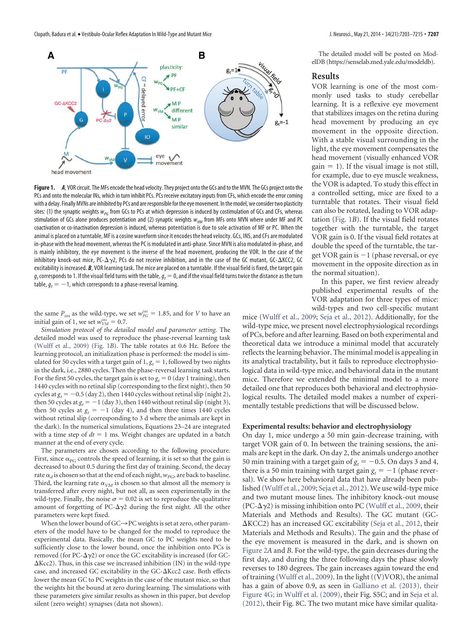

<span id="page-4-0"></span>**Figure 1.** *A*, VOR circuit. The MFs encode the head velocity. They project onto the GCs and to the MVN. The GCs project onto the PCs and onto the molecular INs, which in turn inhibit PCs. PCs receive excitatory inputs from CFs, which encode the error coming with a delay. Finally MVNs are inhibited by PCs and are responsible forthe eye movement. Inthe model, we considertwo plasticity sites: (1) the synaptic weights  $w_{PG}$  from GCs to PCs at which depression is induced by costimulation of GCs and CFs, whereas stimulation of GCs alone produces potentiation and (2) synaptic weights  $w_{VM}$  from MFs onto MVN where under MF and PC coactivation or co-inactivation depression is induced, whereas potentiation is due to sole activation of MF or PC. When the animal is placed on a turntable, MF is a cosine waveformsince it encodes the head velocity. GCs, INS, and CFs are modulated in-phase with the head movement, whereas the PC is modulated in anti-phase. Since MVN is also modulated in-phase, and is mainly inhibitory, the eye movement is the inverse of the head movement, producing the VOR. In the case of the inhibitory knock-out mice, PC- $\Delta\gamma$ 2, PCs do not receive inhibition, and in the case of the GC mutant, GC- $\Delta$ KCC2, GC excitability is increased. **B**, VOR learning task. The mice are placed on a turntable. If the visual field is fixed, the target gain  $g_t$  corresponds to 1. If the visual field turns with the table,  $g_t$   $=$  0, and if the visual field turns twice the distance as the turn table,  $g_t = -1$ , which corresponds to a phase-reversal learning.

the same  $P_{ini}$  as the wild-type, we set  $w_{PG}^{ini} = 1.85$ , and for *V* to have an initial gain of 1, we set  $w_{VM}^{ini} = 0.7$ .

*Simulation protocol of the detailed model and parameter setting.* The detailed model was used to reproduce the phase-reversal learning task [\(Wulff et al., 2009\)](#page-12-0) [\(Fig. 1](#page-4-0)*B*). The table rotates at 0.6 Hz. Before the learning protocol, an initialization phase is performed: the model is simulated for 50 cycles with a target gain of  $1, g_t = 1$ , followed by two nights in the dark, i.e., 2880 cycles. Then the phase-reversal learning task starts. For the first 50 cycles, the target gain is set to  $g_t = 0$  (day 1 training), then 1440 cycles with no retinal slip (corresponding to the first night), then 50 cycles at  $g_t = -0.5$  (day 2), then 1440 cycles without retinal slip (night 2), then 50 cycles at  $g_t = -1$  (day 3), then 1440 without retinal slip (night 3), then 50 cycles at  $g_t = -1$  (day 4), and then three times 1440 cycles without retinal slip (corresponding to 3 d where the animals are kept in the dark). In the numerical simulations, Equations 23–24 are integrated with a time step of  $dt = 1$  ms. Weight changes are updated in a batch manner at the end of every cycle.

The parameters are chosen according to the following procedure. First, since  $\alpha_{PG}$  controls the speed of learning, it is set so that the gain is decreased to about 0.5 during the first day of training. Second, the decay rate  $\alpha_d$  is chosen so that at the end of each night,  $w_{PG}$ , are back to baseline. Third, the learning rate  $\alpha_{VM}$  is chosen so that almost all the memory is transferred after every night, but not all, as seen experimentally in the wild-type. Finally, the noise  $\sigma = 0.02$  is set to reproduce the qualitative amount of forgetting of PC- $\Delta\gamma$ 2 during the first night. All the other parameters were kept fixed.

When the lower bound of  $GC \rightarrow PC$  weights is set at zero, other parameters of the model have to be changed for the model to reproduce the experimental data. Basically, the mean GC to PC weights need to be sufficiently close to the lower bound, once the inhibition onto PCs is removed (for PC- $\Delta \gamma$ 2) or once the GC excitability is increased (for GC- $\Delta$ Kcc2). Thus, in this case we increased inhibition (IN) in the wild-type case, and increased GC excitability in the GC- $\Delta$ Kcc2 case. Both effects lower the mean GC to PC weights in the case of the mutant mice, so that the weights hit the bound at zero during learning. The simulations with these parameters give similar results as shown in this paper, but develop silent (zero weight) synapses (data not shown).

The detailed model will be posted on ModelDB [\(https://senselab.med.yale.edu/modeldb\)](https://senselab.med.yale.edu/modeldb).

## **Results**

VOR learning is one of the most commonly used tasks to study cerebellar learning. It is a reflexive eye movement that stabilizes images on the retina during head movement by producing an eye movement in the opposite direction. With a stable visual surrounding in the light, the eye movement compensates the head movement (visually enhanced VOR  $gain = 1$ ). If the visual image is not still, for example, due to eye muscle weakness, the VOR is adapted. To study this effect in a controlled setting, mice are fixed to a turntable that rotates. Their visual field can also be rotated, leading to VOR adaptation [\(Fig. 1](#page-4-0)*B*). If the visual field rotates together with the turntable, the target VOR gain is 0. If the visual field rotates at double the speed of the turntable, the target VOR gain is  $-1$  (phase reversal, or eye movement in the opposite direction as in the normal situation).

In this paper, we first review already published experimental results of the VOR adaptation for three types of mice: wild-types and two cell-specific mutant

mice [\(Wulff et al., 2009;](#page-12-0) [Seja et al., 2012\)](#page-11-9). Additionally, for the wild-type mice, we present novel electrophysiological recordings of PCs, before and after learning. Based on both experimental and theoretical data we introduce a minimal model that accurately reflects the learning behavior. The minimal model is appealing in its analytical tractability, but it fails to reproduce electrophysiological data in wild-type mice, and behavioral data in the mutant mice. Therefore we extended the minimal model to a more detailed one that reproduces both behavioral and electrophysiological results. The detailed model makes a number of experimentally testable predictions that will be discussed below.

#### **Experimental results: behavior and electrophysiology**

On day 1, mice undergo a 50 min gain-decrease training, with target VOR gain of 0. In between the training sessions, the animals are kept in the dark. On day 2, the animals undergo another 50 min training with a target gain of  $g_t = -0.5$ . On days 3 and 4, there is a 50 min training with target gain  $g_t = -1$  (phase reversal). We show here behavioral data that have already been published [\(Wulff et al., 2009;](#page-12-0) [Seja et al., 2012\)](#page-11-9). We use wild-type mice and two mutant mouse lines. The inhibitory knock-out mouse  $(PC-\Delta\gamma2)$  is missing inhibition onto PC [\(Wulff et al., 2009,](#page-12-0) their Materials and Methods and Results). The GC mutant (GC-  $\Delta$ KCC2) has an increased GC excitability [\(Seja et al., 2012,](#page-11-9) their Materials and Methods and Results). The gain and the phase of the eye movement is measured in the dark, and is shown on [Figure 2](#page-5-0)*A* and *B*. For the wild-type, the gain decreases during the first day, and during the three following days the phase slowly reverses to 180 degrees. The gain increases again toward the end of training [\(Wulff et al., 2009\)](#page-12-0). In the light ((V)VOR), the animal has a gain of above 0.9, as seen in [Galliano et al. \(2013\), their](#page-11-24) Figure 4G; in [Wulff et al. \(2009\),](#page-12-0) their Fig. S5C; and in [Seja et al.](#page-11-9) [\(2012\),](#page-11-9) their Fig. 8C. The two mutant mice have similar qualita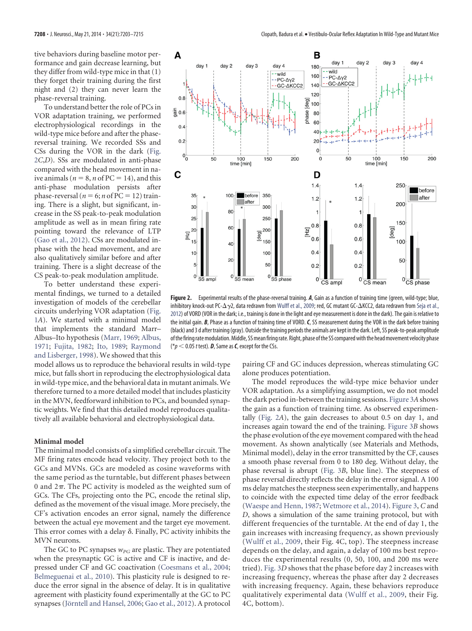tive behaviors during baseline motor performance and gain decrease learning, but they differ from wild-type mice in that (1) they forget their training during the first night and (2) they can never learn the phase-reversal training.

To understand better the role of PCs in VOR adaptation training, we performed electrophysiological recordings in the wild-type mice before and after the phasereversal training. We recorded SSs and CSs during the VOR in the dark [\(Fig.](#page-5-0) [2](#page-5-0)*C*,*D*). SSs are modulated in anti-phase compared with the head movement in naive animals ( $n = 8$ ,  $n$  of PC = 14), and this anti-phase modulation persists after phase-reversal ( $n = 6$ ;  $n$  of PC = 12) training. There is a slight, but significant, increase in the SS peak-to-peak modulation amplitude as well as in mean firing rate pointing toward the relevance of LTP [\(Gao et al., 2012\)](#page-11-8). CSs are modulated inphase with the head movement, and are also qualitatively similar before and after training. There is a slight decrease of the CS peak-to-peak modulation amplitude.

To better understand these experimental findings, we turned to a detailed investigation of models of the cerebellar circuits underlying VOR adaptation [\(Fig.](#page-4-0) [1](#page-4-0)*A*). We started with a minimal model that implements the standard Marr– Albus–Ito hypothesis [\(Marr, 1969;](#page-11-0) [Albus,](#page-10-0) [1971;](#page-10-0) [Fujita, 1982;](#page-11-25) [Ito, 1989;](#page-11-1) [Raymond](#page-11-26) [and Lisberger, 1998\)](#page-11-26). We showed that this

model allows us to reproduce the behavioral results in wild-type mice, but falls short in reproducing the electrophysiological data in wild-type mice, and the behavioral data in mutant animals. We therefore turned to a more detailed model that includes plasticity in the MVN, feedforward inhibition to PCs, and bounded synaptic weights. We find that this detailed model reproduces qualitatively all available behavioral and electrophysiological data.

### **Minimal model**

The minimal model consists of a simplified cerebellar circuit. The MF firing rates encode head velocity. They project both to the GCs and MVNs. GCs are modeled as cosine waveforms with the same period as the turntable, but different phases between 0 and  $2\pi$ . The PC activity is modeled as the weighted sum of GCs. The CFs, projecting onto the PC, encode the retinal slip, defined as the movement of the visual image. More precisely, the CF's activation encodes an error signal, namely the difference between the actual eye movement and the target eye movement. This error comes with a delay  $\delta$ . Finally, PC activity inhibits the MVN neurons.

The GC to PC synapses  $w_{PG}$  are plastic. They are potentiated when the presynaptic GC is active and CF is inactive, and depressed under CF and GC coactivation [\(Coesmans et al., 2004;](#page-11-27) [Belmeguenai et al., 2010\)](#page-10-3). This plasticity rule is designed to reduce the error signal in the absence of delay. It is in qualitative agreement with plasticity found experimentally at the GC to PC synapses (Jörntell and Hansel, 2006; [Gao et al., 2012\)](#page-11-8). A protocol



<span id="page-5-0"></span>**Figure 2.** Experimental results of the phase-reversal training. *A*, Gain as a function of training time (green, wild-type; blue, inhibitory knock-out PC- $\Delta\gamma$ 2, data redrawn from [Wulff et al., 2009;](#page-12-0) red, GC mutant GC- $\Delta$ KCC2, data redrawn from [Seja et al.,](#page-11-9) [2012\)](#page-11-9) of VORD (VOR in the dark; i.e., training is done in the light and eye measurement is done in the dark). The gain is relative to the initial gain. *B*, Phase as a function of training time of VORD. *C*, SS measurement during the VOR in the dark before training (black) and 3 d after training (gray). Outside the training periods the animals are kept in the dark. Left, SS peak-to-peak amplitude of the firing rate modulation. Middle, SS mean firing rate. Right, phase of the SS compared with the head movement velocity phase  $(*p < 0.05$  *t* test). **D**, Same as **C**, except for the CSs.

pairing CF and GC induces depression, whereas stimulating GC alone produces potentiation.

The model reproduces the wild-type mice behavior under VOR adaptation. As a simplifying assumption, we do not model the dark period in-between the training sessions. [Figure 3](#page-6-0)*A*shows the gain as a function of training time. As observed experimentally [\(Fig. 2](#page-5-0)*A*), the gain decreases to about 0.5 on day 1, and increases again toward the end of the training. [Figure 3](#page-6-0)*B* shows the phase evolution of the eye movement compared with the head movement. As shown analytically (see Materials and Methods, Minimal model), delay in the error transmitted by the CF, causes a smooth phase reversal from 0 to 180 deg. Without delay, the phase reversal is abrupt [\(Fig. 3](#page-6-0)*B*, blue line). The steepness of phase reversal directly reflects the delay in the error signal. A 100 ms delay matches the steepness seen experimentally, and happens to coincide with the expected time delay of the error feedback [\(Waespe and Henn, 1987;](#page-12-3) [Wetmore et al., 2014\)](#page-12-4). [Figure 3,](#page-6-0) *C* and *D*, shows a simulation of the same training protocol, but with different frequencies of the turntable. At the end of day 1, the gain increases with increasing frequency, as shown previously [\(Wulff et al., 2009,](#page-12-0) their Fig. 4C, top). The steepness increase depends on the delay, and again, a delay of 100 ms best reproduces the experimental results (0, 50, 100, and 200 ms were tried). [Fig. 3](#page-6-0)*D* shows that the phase before day 2 increases with increasing frequency, whereas the phase after day 2 decreases with increasing frequency. Again, these behaviors reproduce qualitatively experimental data [\(Wulff et al., 2009,](#page-12-0) their Fig. 4C, bottom).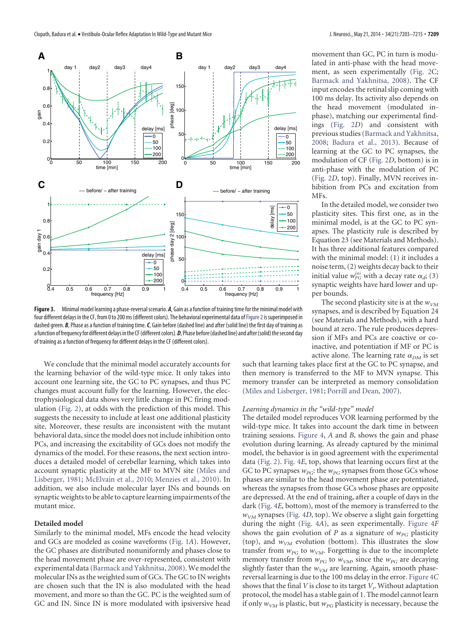

<span id="page-6-0"></span>**Figure 3.** Minimal model learning a phase-reversalscenario. *A*, Gain as a function of training time for the minimal model with four different delays in the CF, from 0 to 200 ms (different colors). The behavioral experimental data of Figure 2 is superimposed in dashed green. *B*, Phase as a function of training time.*C*, Gain before (dashed line) and after (solid line) the first day of training as a function of frequency for different delays in the CF (different colors).  $D$ , Phase before (dashed line) and after (solid) the second day of training as a function of frequency for different delays in the CF (different colors).

We conclude that the minimal model accurately accounts for the learning behavior of the wild-type mice. It only takes into account one learning site, the GC to PC synapses, and thus PC changes must account fully for the learning. However, the electrophysiological data shows very little change in PC firing modulation [\(Fig. 2\)](#page-5-0), at odds with the prediction of this model. This suggests the necessity to include at least one additional plasticity site. Moreover, these results are inconsistent with the mutant behavioral data, since the model does not include inhibition onto PCs, and increasing the excitability of GCs does not modify the dynamics of the model. For these reasons, the next section introduces a detailed model of cerebellar learning, which takes into account synaptic plasticity at the MF to MVN site [\(Miles and](#page-11-28) [Lisberger, 1981;](#page-11-28) [McElvain et al., 2010;](#page-11-29) [Menzies et al., 2010\)](#page-11-23). In addition, we also include molecular layer INs and bounds on synaptic weights to be able to capture learning impairments of the mutant mice.

### **Detailed model**

Similarly to the minimal model, MFs encode the head velocity and GCs are modeled as cosine waveforms [\(Fig. 1](#page-4-0)*A*). However, the GC phases are distributed nonuniformly and phases close to the head movement phase are over-represented, consistent with experimental data [\(Barmack and Yakhnitsa, 2008\)](#page-10-2). We model the molecular INs as the weighted sum of GCs. The GC to IN weights are chosen such that the IN is also modulated with the head movement, and more so than the GC. PC is the weighted sum of GC and IN. Since IN is more modulated with ipsiversive head

movement than GC, PC in turn is modulated in anti-phase with the head movement, as seen experimentally [\(Fig. 2C](#page-5-0); [Barmack and Yakhnitsa, 2008\)](#page-10-2). The CF input encodes the retinal slip coming with 100 ms delay. Its activity also depends on the head movement (modulated inphase), matching our experimental findings [\(Fig. 2](#page-5-0)*D*) and consistent with previous studies [\(Barmack and Yakhnitsa,](#page-10-2) [2008;](#page-10-2) [Badura et al., 2013\)](#page-10-4). Because of learning at the GC to PC synapses, the modulation of CF [\(Fig. 2](#page-5-0)*D*, bottom) is in anti-phase with the modulation of PC [\(Fig. 2](#page-5-0)*D*, top). Finally, MVN receives inhibition from PCs and excitation from MFs.

In the detailed model, we consider two plasticity sites. This first one, as in the minimal model, is at the GC to PC synapses. The plasticity rule is described by Equation 23 (see Materials and Methods). It has three additional features compared with the minimal model: (1) it includes a noise term, (2) weights decay back to their initial value  $w_{PG}^{ini}$  with a decay rate  $\alpha_{d}$ ; (3) synaptic weights have hard lower and upper bounds.

The second plasticity site is at the  $w_{VM}$ synapses, and is described by Equation 24 (see Materials and Methods), with a hard bound at zero. The rule produces depression if MFs and PCs are coactive or coinactive, and potentiation if MF or PC is active alone. The learning rate  $\alpha_{DM}$  is set

such that learning takes place first at the GC to PC synapse, and then memory is transferred to the MF to MVN synapse. This memory transfer can be interpreted as memory consolidation [\(Miles and Lisberger, 1981;](#page-11-28) [Porrill and Dean, 2007\)](#page-11-30).

#### *Learning dynamics in the "wild-type" model*

The detailed model reproduces VOR learning performed by the wild-type mice. It takes into account the dark time in between training sessions. [Figure 4,](#page-7-0) *A* and *B*, shows the gain and phase evolution during learning. As already captured by the minimal model, the behavior is in good agreement with the experimental data [\(Fig. 2\)](#page-5-0). [Fig. 4](#page-7-0)*E*, top, shows that learning occurs first at the GC to PC synapses  $w_{PC}$ : the  $w_{PC}$  synapses from those GCs whose phases are similar to the head movement phase are potentiated, whereas the synapses from those GCs whose phases are opposite are depressed. At the end of training, after a couple of days in the dark [\(Fig. 4](#page-7-0)*E*, bottom), most of the memory is transferred to the *wVM* synapses [\(Fig. 4](#page-7-0)*D*, top). We observe a slight gain forgetting during the night [\(Fig. 4](#page-7-0)*A*), as seen experimentally. [Figure 4](#page-7-0)*F* shows the gain evolution of *P* as a signature of  $w_{PG}$  plasticity (top), and  $w<sub>VM</sub>$  evolution (bottom). This illustrates the slow transfer from  $w_{PG}$  to  $w_{VM}$ . Forgetting is due to the incomplete memory transfer from  $w_{PG}$  to  $w_{VM}$ , since the  $w_{PG}$  are decaying slightly faster than the  $w_{VM}$  are learning. Again, smooth phasereversal learning is due to the 100 ms delay in the error. [Figure 4](#page-7-0)*C* shows that the final  $V$  is close to its target  $V_t$ . Without adaptation protocol, the model has a stable gain of 1. The model cannot learn if only  $w_{VM}$  is plastic, but  $w_{PG}$  plasticity is necessary, because the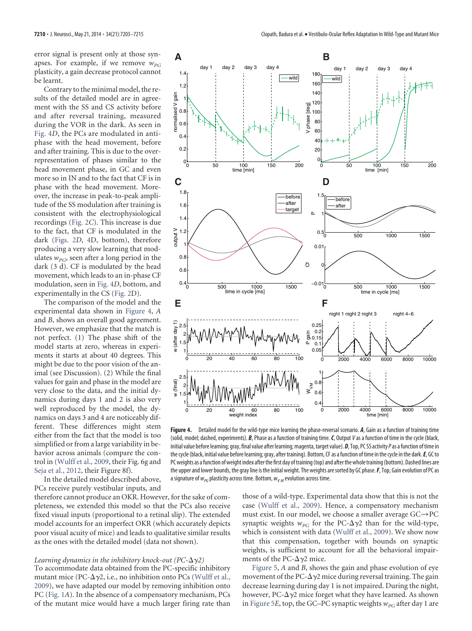error signal is present only at those synapses. For example, if we remove  $w_{PG}$ plasticity, a gain decrease protocol cannot be learnt.

Contrary to the minimal model, the results of the detailed model are in agreement with the SS and CS activity before and after reversal training, measured during the VOR in the dark. As seen in [Fig. 4](#page-7-0)*D*, the PCs are modulated in antiphase with the head movement, before and after training. This is due to the overrepresentation of phases similar to the head movement phase, in GC and even more so in IN and to the fact that CF is in phase with the head movement. Moreover, the increase in peak-to-peak amplitude of the SS modulation after training is consistent with the electrophysiological recordings [\(Fig. 2](#page-5-0)*C*). This increase is due to the fact, that CF is modulated in the dark [\(Figs. 2](#page-5-0)*D*, [4D](#page-7-0), bottom), therefore producing a very slow learning that modulates  $w_{PG}$ , seen after a long period in the dark (3 d). CF is modulated by the head movement, which leads to an in-phase CF modulation, seen in [Fig. 4](#page-7-0)*D*, bottom, and experimentally in the CS [\(Fig. 2D](#page-5-0)).

The comparison of the model and the experimental data shown in [Figure 4,](#page-7-0) *A* and *B*, shows an overall good agreement. However, we emphasize that the match is not perfect. (1) The phase shift of the model starts at zero, whereas in experiments it starts at about 40 degrees. This might be due to the poor vision of the animal (see Discussion). (2) While the final values for gain and phase in the model are very close to the data, and the initial dynamics during days 1 and 2 is also very well reproduced by the model, the dynamics on days 3 and 4 are noticeably different. These differences might stem either from the fact that the model is too simplified or from a large variability in behavior across animals (compare the control in [\(Wulff et al., 2009,](#page-12-0) their Fig. 6g and [Seja et al., 2012,](#page-11-9) their Figure 8f).

In the detailed model described above, PCs receive purely vestibular inputs, and

<span id="page-7-0"></span>

therefore cannot produce an OKR. However, for the sake of completeness, we extended this model so that the PCs also receive fixed visual inputs (proportional to a retinal slip). The extended model accounts for an imperfect OKR (which accurately depicts poor visual acuity of mice) and leads to qualitative similar results as the ones with the detailed model (data not shown).

## Learning dynamics in the inhibitory knock-out  $(PC\text{-}\Delta\gamma2)$

To accommodate data obtained from the PC-specific inhibitory mutant mice (PC- $\Delta\gamma$ 2, i.e., no inhibition onto PCs [\(Wulff et al.,](#page-12-0) [2009\)](#page-12-0), we have adapted our model by removing inhibition onto PC [\(Fig. 1](#page-4-0)*A*). In the absence of a compensatory mechanism, PCs of the mutant mice would have a much larger firing rate than



those of a wild-type. Experimental data show that this is not the case [\(Wulff et al., 2009\)](#page-12-0). Hence, a compensatory mechanism must exist. In our model, we choose a smaller average  $GC\rightarrow PC$ synaptic weights  $w_{PG}$  for the PC- $\Delta \gamma$ 2 than for the wild-type, which is consistent with data [\(Wulff et al., 2009\)](#page-12-0). We show now that this compensation, together with bounds on synaptic weights, is sufficient to account for all the behavioral impairments of the PC- $\Delta \gamma$ 2 mice.

[Figure 5,](#page-8-0) *A* and *B*, shows the gain and phase evolution of eye movement of the PC- $\Delta\gamma$ 2 mice during reversal training. The gain decrease learning during day 1 is not impaired. During the night, however, PC- $\Delta\gamma$ 2 mice forget what they have learned. As shown in [Figure 5](#page-8-0)*E*, top, the GC–PC synaptic weights  $w_{PG}$  after day 1 are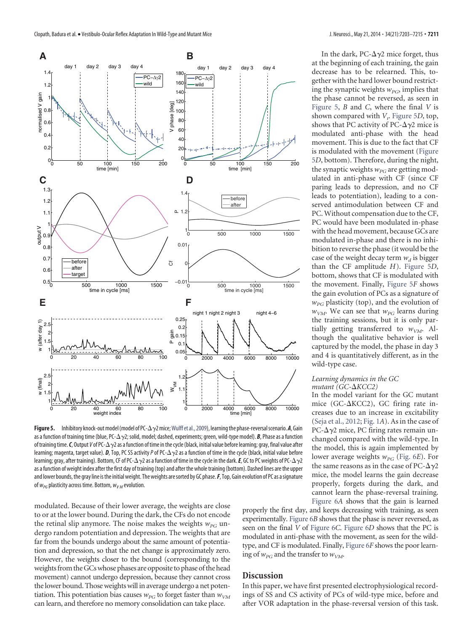

[Figure 5,](#page-8-0) *B* and *C*, where the final *V* is shown compared with  $V_t$ . [Figure 5](#page-8-0)D, top, shows that PC activity of PC- $\Delta\gamma$ 2 mice is modulated anti-phase with the head movement. This is due to the fact that CF is modulated with the movement [\(Figure](#page-8-0) [5](#page-8-0)*D*, bottom). Therefore, during the night, the synaptic weights  $w_{PG}$  are getting modulated in anti-phase with CF (since CF paring leads to depression, and no CF leads to potentiation), leading to a conserved antimodulation between CF and PC. Without compensation due to the CF, PC would have been modulated in-phase with the head movement, because GCs are modulated in-phase and there is no inhibition to reverse the phase (it would be the case of the weight decay term  $w_d$  is bigger than the CF amplitude *H*). [Figure 5](#page-8-0)*D*, bottom, shows that CF is modulated with the movement. Finally, [Figure 5](#page-8-0)*F* shows the gain evolution of PCs as a signature of  $w_{PG}$  plasticity (top), and the evolution of  $w_{VM}$ . We can see that  $w_{PG}$  learns during the training sessions, but it is only partially getting transferred to  $w_{VM}$ . Although the qualitative behavior is well captured by the model, the phase in day 3 and 4 is quantitatively different, as in the wild-type case.

### *Learning dynamics in the GC mutant (GC-KCC2)*

In the model variant for the GC mutant mice (GC- $\Delta$ KCC2), GC firing rate increases due to an increase in excitability [\(Seja et al., 2012;](#page-11-9) [Fig. 1](#page-4-0)*A*). As in the case of PC- $\Delta \gamma$ 2 mice, PC firing rates remain unchanged compared with the wild-type. In the model, this is again implemented by lower average weights  $w_{PG}$  [\(Fig. 6](#page-9-0)*E*). For the same reasons as in the case of PC- $\Delta \gamma$ 2 mice, the model learns the gain decrease properly, forgets during the dark, and cannot learn the phase-reversal training. [Figure 6](#page-9-0)*A* shows that the gain is learned

as a function of training time (blue, PC- $\Delta$   $\gamma$ 2; solid, model; dashed, experiments; green, wild-type model). **B**, Phase as a function of training time. **C**, Output V of PC-Δγ2 as a function of time in the cycle (black, initial value before learning; gray, final value after learning; magenta, target value). **D**, Top, PC SS activity P of PC- $\Delta\gamma$ 2 as a function of time in the cycle (black, initial value before learning; gray, after training). Bottom, CF of PC- $\Delta\gamma$ 2 as a function of time in the cycle in the dark. *E*, GC to PC weights of PC- $\Delta\gamma$ 2 as a function of weight index after the first day of training (top) and after the whole training (bottom). Dashed lines are the upper and lower bounds, the gray line is the initial weight. The weights are sorted by GC phase. F, Top, Gain evolution of PC as a signature of  $w_{PG}$  plasticity across time. Bottom,  $w_{VM}$  evolution.

<span id="page-8-0"></span>Figure 5. Inhibitory knock-out model (model of PC- $\Delta$  y2 mice; Wulff et al., 2009), learning the phase-reversal scenario. *A*, Gain

modulated. Because of their lower average, the weights are close to or at the lower bound. During the dark, the CFs do not encode the retinal slip anymore. The noise makes the weights  $w_{PC}$  undergo random potentiation and depression. The weights that are far from the bounds undergo about the same amount of potentiation and depression, so that the net change is approximately zero. However, the weights closer to the bound (corresponding to the weights from the GCs whose phases are opposite to phase of the head movement) cannot undergo depression, because they cannot cross the lower bound. Those weights will in average undergo a net potentiation. This potentiation bias causes  $w_{PG}$  to forget faster than  $w_{VM}$ can learn, and therefore no memory consolidation can take place.

properly the first day, and keeps decreasing with training, as seen experimentally. [Figure 6](#page-9-0)*B* shows that the phase is never reversed, as seen on the final *V* of [Figure 6](#page-9-0)*C*. [Figure 6](#page-9-0)*D* shows that the PC is modulated in anti-phase with the movement, as seen for the wildtype, and CF is modulated. Finally, [Figure 6](#page-9-0)*F* shows the poor learning of  $w_{PG}$  and the transfer to  $w_{VM}$ .

# **Discussion**

In this paper, we have first presented electrophysiological recordings of SS and CS activity of PCs of wild-type mice, before and after VOR adaptation in the phase-reversal version of this task.

In the dark, PC- $\Delta \gamma$ 2 mice forget, thus at the beginning of each training, the gain decrease has to be relearned. This, together with the hard lower bound restricting the synaptic weights  $w_{PG}$ , implies that the phase cannot be reversed, as seen in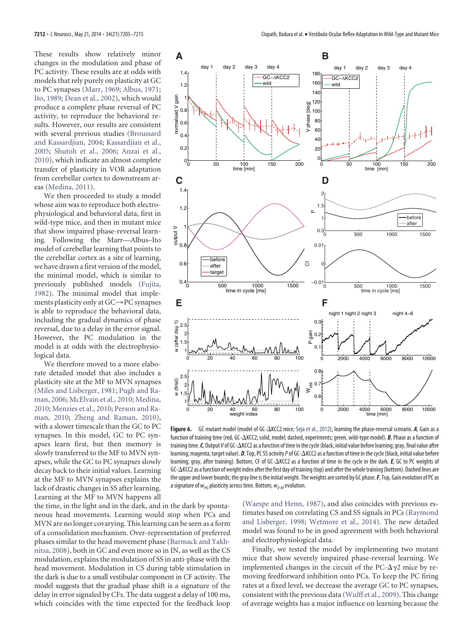These results show relatively minor changes in the modulation and phase of PC activity. These results are at odds with models that rely purely on plasticity at GC to PC synapses [\(Marr, 1969;](#page-11-0) [Albus, 1971;](#page-10-0) [Ito, 1989;](#page-11-1) [Dean et al., 2002\)](#page-11-2), which would produce a complete phase reversal of PC activity, to reproduce the behavioral results. However, our results are consistent with several previous studies [\(Broussard](#page-11-31) [and Kassardjian, 2004;](#page-11-31) [Kassardjian et al.,](#page-11-32) [2005;](#page-11-32) [Shutoh et al., 2006;](#page-11-33) [Anzai et al.,](#page-10-5) [2010\)](#page-10-5), which indicate an almost complete transfer of plasticity in VOR adaptation from cerebellar cortex to downstream areas [\(Medina, 2011\)](#page-11-7).

We then proceeded to study a model whose aim was to reproduce both electrophysiological and behavioral data, first in wild-type mice, and then in mutant mice that show impaired phase-reversal learning. Following the Marr—Albus–Ito model of cerebellar learning that points to the cerebellar cortex as a site of learning, we have drawn a first version of the model, the minimal model, which is similar to previously published models [\(Fujita,](#page-11-25) [1982\)](#page-11-25). The minimal model that implements plasticity only at  $GC \rightarrow PC$  synapses is able to reproduce the behavioral data, including the gradual dynamics of phase reversal, due to a delay in the error signal. However, the PC modulation in the model is at odds with the electrophysiological data.

We therefore moved to a more elaborate detailed model that also includes a plasticity site at the MF to MVN synapses [\(Miles and Lisberger, 1981;](#page-11-28) [Pugh and Ra](#page-11-34)[man, 2006;](#page-11-34) [McElvain et al., 2010;](#page-11-29) [Medina,](#page-11-35) [2010;](#page-11-35) [Menzies et al., 2010;](#page-11-23) [Person and Ra](#page-11-36)[man, 2010;](#page-11-36) [Zheng and Raman, 2010\)](#page-12-5), with a slower timescale than the GC to PC synapses. In this model, GC to PC synapses learn first, but then memory is slowly transferred to the MF to MVN synapses, while the GC to PC synapses slowly decay back to their initial values. Learning at the MF to MVN synapses explains the lack of drastic changes in SS after learning. Learning at the MF to MVN happens all

the time, in the light and in the dark, and in the dark by spontaneous head movements. Learning would stop when PCs and MVN are no longer covarying. This learning can be seen as a form of a consolidation mechanism. Over-representation of preferred phases similar to the head movement phase [\(Barmack and Yakh](#page-10-2)[nitsa, 2008\)](#page-10-2), both in GC and even more so in IN, as well as the CS modulation, explains the modulation of SS in anti-phase with the head movement. Modulation in CS during table stimulation in the dark is due to a small vestibular component in CF activity. The model suggests that the gradual phase shift is a signature of the delay in error signaled by CFs. The data suggest a delay of 100 ms, which coincides with the time expected for the feedback loop



<span id="page-9-0"></span>**Figure 6.** GC mutant model (model of GC-KCC2 mice; [Seja et al., 2012\)](#page-11-9), learning the phase-reversal scenario. *A*, Gain as a function of training time (red, GC-KCC2; solid, model; dashed, experiments; green, wild-type model). *B*, Phase as a function of training time. C, Output *V* of GC- $\Delta$ KCC2 as a function of time in the cycle (black, initial value before learning; gray, final value after learning; magenta, target value). *D*, Top, PC SS activity P of GC-△KCC2 as a function of time in the cycle (black, initial value before learning; gray, after training). Bottom, CF of GC- $\Delta$ KCC2 as a function of time in the cycle in the dark. *E*, GC to PC weights of GC- $\Delta$ KCC2 as a function of weight index after the first day of training (top) and after the whole training (bottom). Dashed lines are the upper and lower bounds; the gray line is the initial weight. The weights aresorted by GC phase.*F*, Top, Gain evolution of PC as a signature of  $w_{PG}$  plasticity across time. Bottom,  $w_{VM}$  evolution.

[\(Waespe and Henn, 1987\)](#page-12-3), and also coincides with previous estimates based on correlating CS and SS signals in PCs [\(Raymond](#page-11-26) [and Lisberger, 1998;](#page-11-26) [Wetmore et al., 2014\)](#page-12-4). The new detailed model was found to be in good agreement with both behavioral and electrophysiological data.

Finally, we tested the model by implementing two mutant mice that show severely impaired phase-reversal learning. We implemented changes in the circuit of the PC- $\Delta \gamma$ 2 mice by removing feedforward inhibition onto PCs. To keep the PC firing rates at a fixed level, we decrease the average GC to PC synapses, consistent with the previous data [\(Wulff et al., 2009\)](#page-12-0). This change of average weights has a major influence on learning because the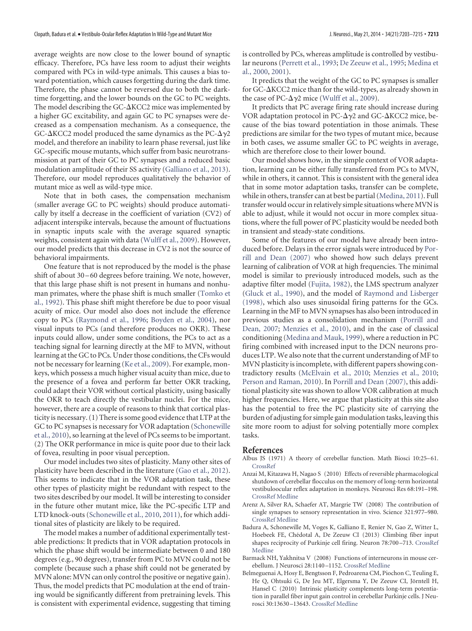average weights are now close to the lower bound of synaptic efficacy. Therefore, PCs have less room to adjust their weights compared with PCs in wild-type animals. This causes a bias toward potentiation, which causes forgetting during the dark time. Therefore, the phase cannot be reversed due to both the darktime forgetting, and the lower bounds on the GC to PC weights. The model describing the GC- $\Delta$ KCC2 mice was implemented by a higher GC excitability, and again GC to PC synapses were decreased as a compensation mechanism. As a consequence, the GC- $\Delta$ KCC2 model produced the same dynamics as the PC- $\Delta\gamma$ 2 model, and therefore an inability to learn phase reversal, just like GC-specific mouse mutants, which suffer from basic neurotransmission at part of their GC to PC synapses and a reduced basic modulation amplitude of their SS activity [\(Galliano et al., 2013\)](#page-11-24). Therefore, our model reproduces qualitatively the behavior of mutant mice as well as wild-type mice.

Note that in both cases, the compensation mechanism (smaller average GC to PC weights) should produce automatically by itself a decrease in the coefficient of variation (CV2) of adjacent interspike intervals, because the amount of fluctuations in synaptic inputs scale with the average squared synaptic weights, consistent again with data [\(Wulff et al., 2009\)](#page-12-0). However, our model predicts that this decrease in CV2 is not the source of behavioral impairments.

One feature that is not reproduced by the model is the phase shift of about 30 –60 degrees before training. We note, however, that this large phase shift is not present in humans and nonhuman primates, where the phase shift is much smaller [\(Tomko et](#page-12-6) [al., 1992\)](#page-12-6). This phase shift might therefore be due to poor visual acuity of mice. Our model also does not include the efference copy to PCs [\(Raymond et al., 1996;](#page-11-37) [Boyden et al., 2004\)](#page-11-6), nor visual inputs to PCs (and therefore produces no OKR). These inputs could allow, under some conditions, the PCs to act as a teaching signal for learning directly at the MF to MVN, without learning at the GC to PCs. Under those conditions, the CFs would not be necessary for learning [\(Ke et al., 2009\)](#page-11-38). For example, monkeys, which possess a much higher visual acuity than mice, due to the presence of a fovea and perform far better OKR tracking, could adapt their VOR without cortical plasticity, using basically the OKR to teach directly the vestibular nuclei. For the mice, however, there are a couple of reasons to think that cortical plasticity is necessary. (1) There is some good evidence that LTP at the GC to PC synapses is necessary for VOR adaptation [\(Schonewille](#page-11-39) [et al., 2010\)](#page-11-39), so learning at the level of PCs seems to be important. (2) The OKR performance in mice is quite poor due to their lack of fovea, resulting in poor visual perception.

Our model includes two sites of plasticity. Many other sites of plasticity have been described in the literature [\(Gao et al., 2012\)](#page-11-8). This seems to indicate that in the VOR adaptation task, these other types of plasticity might be redundant with respect to the two sites described by our model. It will be interesting to consider in the future other mutant mice, like the PC-specific LTP and LTD knock-outs [\(Schonewille et al., 2010,](#page-11-39) [2011\)](#page-11-40), for which additional sites of plasticity are likely to be required.

The model makes a number of additional experimentally testable predictions: It predicts that in VOR adaptation protocols in which the phase shift would be intermediate between 0 and 180 degrees (e.g., 90 degrees), transfer from PC to MVN could not be complete (because such a phase shift could not be generated by MVN alone: MVN can only control the positive or negative gain). Thus, the model predicts that PC modulation at the end of training would be significantly different from pretraining levels. This is consistent with experimental evidence, suggesting that timing is controlled by PCs, whereas amplitude is controlled by vestibular neurons [\(Perrett et al., 1993;](#page-11-41) [De Zeeuw et al., 1995;](#page-11-12) [Medina et](#page-11-42) [al., 2000,](#page-11-42) [2001\)](#page-11-43).

It predicts that the weight of the GC to PC synapses is smaller for GC- $\Delta$ KCC2 mice than for the wild-types, as already shown in the case of PC- $\Delta \gamma$ 2 mice [\(Wulff et al., 2009\)](#page-12-0).

It predicts that PC average firing rate should increase during VOR adaptation protocol in PC- $\Delta\gamma$ 2 and GC- $\Delta$ KCC2 mice, because of the bias toward potentiation in those animals. These predictions are similar for the two types of mutant mice, because in both cases, we assume smaller GC to PC weights in average, which are therefore close to their lower bound.

Our model shows how, in the simple context of VOR adaptation, learning can be either fully transferred from PCs to MVN, while in others, it cannot. This is consistent with the general idea that in some motor adaptation tasks, transfer can be complete, while in others, transfer can at best be partial [\(Medina, 2011\)](#page-11-7). Full transfer would occur in relatively simple situations where MVN is able to adjust, while it would not occur in more complex situations, where the full power of PC plasticity would be needed both in transient and steady-state conditions.

Some of the features of our model have already been introduced before. Delays in the error signals were introduced by [Por](#page-11-30)[rill and Dean \(2007\)](#page-11-30) who showed how such delays prevent learning of calibration of VOR at high frequencies. The minimal model is similar to previously introduced models, such as the adaptive filter model [\(Fujita, 1982\)](#page-11-25), the LMS spectrum analyzer [\(Gluck et al., 1990\)](#page-11-44), and the model of [Raymond and Lisberger](#page-11-26) [\(1998\),](#page-11-26) which also uses sinusoidal firing patterns for the GCs. Learning in the MF to MVN synapses has also been introduced in previous studies as a consolidation mechanism [\(Porrill and](#page-11-30) [Dean, 2007;](#page-11-30) [Menzies et al., 2010\)](#page-11-23), and in the case of classical conditioning [\(Medina and Mauk, 1999\)](#page-11-45), where a reduction in PC firing combined with increased input to the DCN neurons produces LTP. We also note that the current understanding of MF to MVN plasticity is incomplete, with different papers showing contradictory results [\(McElvain et al., 2010;](#page-11-29) [Menzies et al., 2010;](#page-11-23) [Person and Raman, 2010\)](#page-11-36). In [Porrill and Dean \(2007\),](#page-11-30) this additional plasticity site was shown to allow VOR calibration at much higher frequencies. Here, we argue that plasticity at this site also has the potential to free the PC plasticity site of carrying the burden of adjusting for simple gain modulation tasks, leaving this site more room to adjust for solving potentially more complex tasks.

## <span id="page-10-0"></span>**References**

- Albus JS (1971) A theory of cerebellar function. Math Biosci 10:25–61. [CrossRef](http://dx.doi.org/10.1016/0025-5564(71)90051-4)
- <span id="page-10-5"></span>Anzai M, Kitazawa H, Nagao S (2010) Effects of reversible pharmacological shutdown of cerebellar flocculus on the memory of long-term horizontal vestibuloocular reflex adaptation in monkeys. Neurosci Res 68:191–198. [CrossRef](http://dx.doi.org/10.1016/j.neures.2010.07.2038) [Medline](http://www.ncbi.nlm.nih.gov/pubmed/20674618)
- <span id="page-10-1"></span>Arenz A, Silver RA, Schaefer AT, Margrie TW (2008) The contribution of single synapses to sensory representation in vivo. Science 321:977–980. [CrossRef](http://dx.doi.org/10.1126/science.1158391) [Medline](http://www.ncbi.nlm.nih.gov/pubmed/18703744)
- <span id="page-10-4"></span>Badura A, Schonewille M, Voges K, Galliano E, Renier N, Gao Z, Witter L, Hoebeek FE, Chédotal A, De Zeeuw CI (2013) Climbing fiber input shapes reciprocity of Purkinje cell firing. Neuron 78:700 –713. [CrossRef](http://dx.doi.org/10.1016/j.neuron.2013.03.018) [Medline](http://www.ncbi.nlm.nih.gov/pubmed/23643935)
- <span id="page-10-2"></span>Barmack NH, Yakhnitsa V (2008) Functions of interneurons in mouse cerebellum. J Neurosci 28:1140 –1152. [CrossRef](http://dx.doi.org/10.1523/JNEUROSCI.3942-07.2008) [Medline](http://www.ncbi.nlm.nih.gov/pubmed/18234892)
- <span id="page-10-3"></span>Belmeguenai A, Hosy E, Bengtsson F, Pedroarena CM, Piochon C, Teuling E, He Q, Ohtsuki G, De Jeu MT, Elgersma Y, De Zeeuw CI, Jörntell H, Hansel C (2010) Intrinsic plasticity complements long-term potentiation in parallel fiber input gain control in cerebellar Purkinje cells. J Neurosci 30:13630 –13643. [CrossRef](http://dx.doi.org/10.1523/JNEUROSCI.3226-10.2010) [Medline](http://www.ncbi.nlm.nih.gov/pubmed/20943904)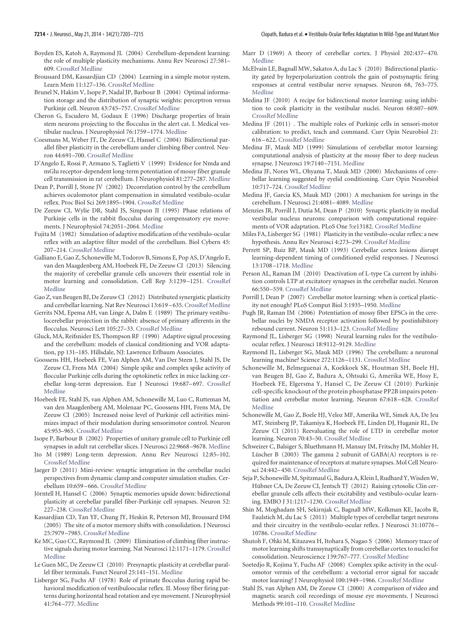- <span id="page-11-6"></span>Boyden ES, Katoh A, Raymond JL (2004) Cerebellum-dependent learning: the role of multiple plasticity mechanisms. Annu Rev Neurosci 27:581– 609. [CrossRef](http://dx.doi.org/10.1146/annurev.neuro.27.070203.144238) [Medline](http://www.ncbi.nlm.nih.gov/pubmed/15217344)
- <span id="page-11-31"></span>Broussard DM, Kassardjian CD (2004) Learning in a simple motor system. Learn Mem 11:127–136. [CrossRef](http://dx.doi.org/10.1101/lm.65804) [Medline](http://www.ncbi.nlm.nih.gov/pubmed/15054127)
- <span id="page-11-22"></span>Brunel N, Hakim V, Isope P, Nadal JP, Barbour B (2004) Optimal information storage and the distribution of synaptic weights: perceptron versus Purkinje cell. Neuron 43:745–757. [CrossRef](http://dx.doi.org/10.1016/j.neuron.2004.08.023) [Medline](http://www.ncbi.nlm.nih.gov/pubmed/15339654)
- <span id="page-11-18"></span>Cheron G, Escudero M, Godaux E (1996) Discharge properties of brain stem neurons projecting to the flocculus in the alert cat. I. Medical vestibular nucleus. J Neurophysiol 76:1759 –1774. [Medline](http://www.ncbi.nlm.nih.gov/pubmed/8890290)
- <span id="page-11-27"></span>Coesmans M, Weber JT, De Zeeuw CI, Hansel C (2004) Bidirectional parallel fiber plasticity in the cerebellum under climbing fiber control. Neuron 44:691–700. [CrossRef](http://dx.doi.org/10.1016/j.neuron.2004.10.031) [Medline](http://www.ncbi.nlm.nih.gov/pubmed/15541316)
- <span id="page-11-11"></span>D'Angelo E, Rossi P, Armano S, Taglietti V (1999) Evidence for Nmda and mGlu receptor-dependent long-term potentiation of mossy fiber granule cell transmission in rat cerebellum. J Neurophysiol 81:277–287. [Medline](http://www.ncbi.nlm.nih.gov/pubmed/9914288)
- <span id="page-11-2"></span>Dean P, Porrill J, Stone JV (2002) Decorrelation control by the cerebellum achieves oculomotor plant compensation in simulated vestibulo-ocular reflex. Proc Biol Sci 269:1895–1904. [CrossRef](http://dx.doi.org/10.1098/rspb.2002.2103) [Medline](http://www.ncbi.nlm.nih.gov/pubmed/12350251)
- <span id="page-11-12"></span>De Zeeuw CI, Wylie DR, Stahl JS, Simpson JI (1995) Phase relations of Purkinje cells in the rabbit flocculus during compensatory eye movements. J Neurophysiol 74:2051–2064. [Medline](http://www.ncbi.nlm.nih.gov/pubmed/8592196)
- <span id="page-11-25"></span>Fujita M (1982) Simulation of adaptive modification of the vestibulo-ocular reflex with an adaptive filter model of the cerebellum. Biol Cybern 45: 207–214. [CrossRef](http://dx.doi.org/10.1007/BF00336193) [Medline](http://www.ncbi.nlm.nih.gov/pubmed/6983367)
- <span id="page-11-24"></span>Galliano E, Gao Z, Schonewille M, Todorov B, Simons E, Pop AS, D'Angelo E, van den Maagdenberg AM, Hoebeek FE, De Zeeuw CI (2013) Silencing the majority of cerebellar granule cells uncovers their essential role in motor learning and consolidation. Cell Rep 3:1239 –1251. [CrossRef](http://dx.doi.org/10.1016/j.celrep.2013.03.023) [Medline](http://www.ncbi.nlm.nih.gov/pubmed/23583179)
- <span id="page-11-8"></span>Gao Z, van Beugen BJ, De Zeeuw CI (2012) Distributed synergistic plasticity and cerebellar learning. Nat Rev Neurosci 13:619 –635. [CrossRef](http://dx.doi.org/10.1038/nrn3312) [Medline](http://www.ncbi.nlm.nih.gov/pubmed/22895474)
- <span id="page-11-17"></span>Gerrits NM, Epema AH, van Linge A, Dalm E (1989) The primary vestibulocerebellar projection in the rabbit: absence of primary afferents in the flocculus. Neurosci Lett 105:27–33. [CrossRef](http://dx.doi.org/10.1016/0304-3940(89)90006-2) [Medline](http://www.ncbi.nlm.nih.gov/pubmed/2484730)
- <span id="page-11-44"></span>Gluck, MA, Reifsnider ES, Thompson RF (1990) Adaptive signal processing and the cerebellum: models of classical conditioning and VOR adaptation, pp 131–185. Hillsdale, NJ: Lawrence Erlbaum Associates.
- <span id="page-11-14"></span>Goossens HH, Hoebeek FE, Van Alphen AM, Van Der Steen J, Stahl JS, De Zeeuw CI, Frens MA (2004) Simple spike and complex spike activity of floccular Purkinje cells during the optokinetic reflex in mice lacking cerebellar long-term depression. Eur J Neurosci 19:687–697. [CrossRef](http://dx.doi.org/10.1111/j.0953-816X.2003.03173.x) [Medline](http://www.ncbi.nlm.nih.gov/pubmed/14984419)
- <span id="page-11-15"></span>Hoebeek FE, Stahl JS, van Alphen AM, Schonewille M, Luo C, Rutteman M, van den Maagdenberg AM, Molenaar PC, Goossens HH, Frens MA, De Zeeuw CI (2005) Increased noise level of Purkinje cell activities minimizes impact of their modulation during sensorimotor control. Neuron 45:953–965. [CrossRef](http://dx.doi.org/10.1016/j.neuron.2005.02.012) [Medline](http://www.ncbi.nlm.nih.gov/pubmed/15797555)
- <span id="page-11-21"></span>Isope P, Barbour B (2002) Properties of unitary granule cell to Purkinje cell synapses in adult rat cerebellar slices. J Neurosci 22:9668 –9678. [Medline](http://www.ncbi.nlm.nih.gov/pubmed/12427822)
- <span id="page-11-1"></span>Ito M (1989) Long-term depression. Annu Rev Neurosci 12:85–102. [CrossRef](http://dx.doi.org/10.1146/annurev.ne.12.030189.000505) [Medline](http://www.ncbi.nlm.nih.gov/pubmed/2648961)
- <span id="page-11-5"></span>Jaeger D (2011) Mini-review: synaptic integration in the cerebellar nuclei perspectives from dynamic clamp and computer simulation studies. Cerebellum 10:659 –666. [CrossRef](http://dx.doi.org/10.1007/s12311-011-0248-3) [Medline](http://www.ncbi.nlm.nih.gov/pubmed/21259124)
- <span id="page-11-4"></span>Jörntell H, Hansel C (2006) Synaptic memories upside down: bidirectional plasticity at cerebellar parallel fiber-Purkinje cell synapses. Neuron 52: 227–238. [CrossRef](http://dx.doi.org/10.1016/j.neuron.2006.09.032) [Medline](http://www.ncbi.nlm.nih.gov/pubmed/17046686)
- <span id="page-11-32"></span>Kassardjian CD, Tan YF, Chung JY, Heskin R, Peterson MJ, Broussard DM (2005) The site of a motor memory shifts with consolidation. J Neurosci 25:7979 –7985. [CrossRef](http://dx.doi.org/10.1523/JNEUROSCI.2215-05.2005) [Medline](http://www.ncbi.nlm.nih.gov/pubmed/16135754)
- <span id="page-11-38"></span>Ke MC, Guo CC, Raymond JL (2009) Elimination of climbing fiber instructive signals during motor learning. Nat Neurosci 12:1171–1179. [CrossRef](http://dx.doi.org/10.1038/nn.2366) [Medline](http://www.ncbi.nlm.nih.gov/pubmed/19684593)
- <span id="page-11-20"></span>Le Guen MC, De Zeeuw CI (2010) Presynaptic plasticity at cerebellar parallel fiber terminals. Funct Neurol 25:141–151. [Medline](http://www.ncbi.nlm.nih.gov/pubmed/21232210)
- <span id="page-11-16"></span>Lisberger SG, Fuchs AF (1978) Role of primate flocculus during rapid behavioral modification of vestibuloocular reflex. II. Mossy fiber firing patterns during horizontal head rotation and eye movement. J Neurophysiol 41:764 –777. [Medline](http://www.ncbi.nlm.nih.gov/pubmed/96226)
- <span id="page-11-0"></span>Marr D (1969) A theory of cerebellar cortex. J Physiol 202:437–470. [Medline](http://www.ncbi.nlm.nih.gov/pubmed/5784296)
- <span id="page-11-29"></span>McElvain LE, Bagnall MW, Sakatos A, du Lac S (2010) Bidirectional plasticity gated by hyperpolarization controls the gain of postsynaptic firing responses at central vestibular nerve synapses. Neuron 68, 763–775. [Medline](http://www.ncbi.nlm.nih.gov/pubmed/21092864)
- <span id="page-11-35"></span>Medina JF (2010) A recipe for bidirectional motor learning: using inhibition to cook plasticity in the vestibular nuclei. Neuron 68:607–609. [CrossRef](http://dx.doi.org/10.1016/j.neuron.2010.11.011) [Medline](http://www.ncbi.nlm.nih.gov/pubmed/21092853)
- <span id="page-11-7"></span>Medina JF (2011) . The multiple roles of Purkinje cells in sensori-motor calibration: to predict, teach and command. Curr Opin Neurobiol 21: 616 –622. [CrossRef](http://dx.doi.org/10.1016/j.conb.2011.05.025) [Medline](http://www.ncbi.nlm.nih.gov/pubmed/21684147)
- <span id="page-11-45"></span>Medina JF, Mauk MD (1999) Simulations of cerebellar motor learning: computational analysis of plasticity at the mossy fiber to deep nucleus synapse. J Neurosci 19:7140 –7151. [Medline](http://www.ncbi.nlm.nih.gov/pubmed/10436067)
- <span id="page-11-42"></span>Medina JF, Nores WL, Ohyama T, Mauk MD (2000) Mechanisms of cerebellar learning suggested by eyelid conditioning. Curr Opin Neurobiol 10:717–724. [CrossRef](http://dx.doi.org/10.1016/S0959-4388(00)00154-9) [Medline](http://www.ncbi.nlm.nih.gov/pubmed/11240280)
- <span id="page-11-43"></span>Medina JF, Garcia KS, Mauk MD (2001) A mechanism for savings in the cerebellum. J Neurosci 21:4081–4089. [Medline](http://www.ncbi.nlm.nih.gov/pubmed/11356896)
- <span id="page-11-23"></span>Menzies JR, Porrill J, Dutia M, Dean P (2010) Synaptic plasticity in medial vestibular nucleus neurons: comparison with computational requirements of VOR adaptation. PLoS One 5:e13182. [CrossRef](http://dx.doi.org/10.1371/journal.pone.0013182) [Medline](http://www.ncbi.nlm.nih.gov/pubmed/20957149)
- <span id="page-11-28"></span>Miles FA, Lisberger SG (1981) Plasticity in the vestibulo-ocular reflex: a new hypothesis. Annu Rev Neurosci 4:273–299. [CrossRef](http://dx.doi.org/10.1146/annurev.ne.04.030181.001421) [Medline](http://www.ncbi.nlm.nih.gov/pubmed/6784658)
- <span id="page-11-41"></span>Perrett SP, Ruiz BP, Mauk MD (1993) Cerebellar cortex lesions disrupt learning-dependent timing of conditioned eyelid responses. J Neurosci 13:1708 –1718. [Medline](http://www.ncbi.nlm.nih.gov/pubmed/8463846)
- <span id="page-11-36"></span>Person AL, Raman IM (2010) Deactivation of L-type Ca current by inhibition controls LTP at excitatory synapses in the cerebellar nuclei. Neuron 66:550 –559. [CrossRef](http://dx.doi.org/10.1016/j.neuron.2010.04.024) [Medline](http://www.ncbi.nlm.nih.gov/pubmed/20510859)
- <span id="page-11-30"></span>Porrill J, Dean P (2007) Cerebellar motor learning: when is cortical plasticity not enough? PLoS Comput Biol 3:1935–1950. [Medline](http://www.ncbi.nlm.nih.gov/pubmed/17967048)
- <span id="page-11-34"></span>Pugh JR, Raman IM (2006) Potentiation of mossy fiber EPSCs in the cerebellar nuclei by NMDA receptor activation followed by postinhibitory rebound current. Neuron 51:113–123. [CrossRef](http://dx.doi.org/10.1016/j.neuron.2006.05.021) [Medline](http://www.ncbi.nlm.nih.gov/pubmed/16815336)
- <span id="page-11-26"></span>Raymond JL, Lisberger SG (1998) Neural learning rules for the vestibuloocular reflex. J Neurosci 18:9112–9129. [Medline](http://www.ncbi.nlm.nih.gov/pubmed/9787014)
- <span id="page-11-37"></span>Raymond JL, Lisberger SG, Mauk MD (1996) The cerebellum: a neuronal learning machine? Science 272:1126 –1131. [CrossRef](http://dx.doi.org/10.1126/science.272.5265.1126) [Medline](http://www.ncbi.nlm.nih.gov/pubmed/8638157)
- <span id="page-11-39"></span>Schonewille M, Belmeguenai A, Koekkoek SK, Houtman SH, Boele HJ, van Beugen BJ, Gao Z, Badura A, Ohtsuki G, Amerika WE, Hosy E, Hoebeek FE, Elgersma Y, Hansel C, De Zeeuw CI (2010) Purkinje cell-specific knockout of the protein phosphatase PP2B impairs potentiation and cerebellar motor learning. Neuron 67:618 –628. [CrossRef](http://dx.doi.org/10.1016/j.neuron.2010.07.009) [Medline](http://www.ncbi.nlm.nih.gov/pubmed/20797538)
- <span id="page-11-40"></span>Schonewille M, Gao Z, Boele HJ, Veloz MF, Amerika WE, Simek AA, De Jeu MT, Steinberg JP, Takamiya K, Hoebeek FE, Linden DJ, Huganir RL, De Zeeuw CI (2011) Reevaluating the role of LTD in cerebellar motor learning. Neuron 70:43–50. [CrossRef](http://dx.doi.org/10.1016/j.neuron.2011.02.044) [Medline](http://www.ncbi.nlm.nih.gov/pubmed/21482355)
- <span id="page-11-10"></span>Schweizer C, Balsiger S, Bluethmann H, Mansuy IM, Fritschy JM, Mohler H, Lüscher B  $(2003)$  The gamma 2 subunit of  $GABA(A)$  receptors is required for maintenance of receptors at mature synapses. Mol Cell Neurosci 24:442–450. [CrossRef](http://dx.doi.org/10.1016/S1044-7431(03)00202-1) [Medline](http://www.ncbi.nlm.nih.gov/pubmed/14572465)
- <span id="page-11-9"></span>Seja P, Schonewille M, Spitzmaul G, Badura A, Klein I, Rudhard Y, Wisden W, Hübner CA, De Zeeuw CI, Jentsch TJ (2012) Raising cytosolic Clin cerebellar granule cells affects their excitability and vestibulo-ocular learning. EMBO J 31:1217–1230. [CrossRef](http://dx.doi.org/10.1038/emboj.2011.488) [Medline](http://www.ncbi.nlm.nih.gov/pubmed/22252133)
- <span id="page-11-19"></span>Shin M, Moghadam SH, Sekirnjak C, Bagnall MW, Kolkman KE, Jacobs R, Faulstich M, du Lac S (2011) Multiple types of cerebellar target neurons and their circuitry in the vestibulo-ocular reflex. J Neurosci 31:10776 – 10786. [CrossRef](http://dx.doi.org/10.1523/JNEUROSCI.0768-11.2011) [Medline](http://www.ncbi.nlm.nih.gov/pubmed/21795530)
- <span id="page-11-33"></span>Shutoh F, Ohki M, Kitazawa H, Itohara S, Nagao S (2006) Memory trace of motor learning shifts transsynaptically from cerebellar cortex to nuclei for consolidation. Neuroscience 139:767–777. [CrossRef](http://dx.doi.org/10.1016/j.neuroscience.2005.12.035) [Medline](http://www.ncbi.nlm.nih.gov/pubmed/16458438)
- <span id="page-11-3"></span>Soetedjo R, Kojima Y, Fuchs AF (2008) Complex spike activity in the oculomotor vermis of the cerebellum: a vectorial error signal for saccade motor learning? J Neurophysiol 100:1949 –1966. [CrossRef](http://dx.doi.org/10.1152/jn.90526.2008) [Medline](http://www.ncbi.nlm.nih.gov/pubmed/18650308)
- <span id="page-11-13"></span>Stahl JS, van Alphen AM, De Zeeuw CI (2000) A comparison of video and magnetic search coil recordings of mouse eye movements. J Neurosci Methods 99:101–110. [CrossRef](http://dx.doi.org/10.1016/S0165-0270(00)00218-1) [Medline](http://www.ncbi.nlm.nih.gov/pubmed/10936649)